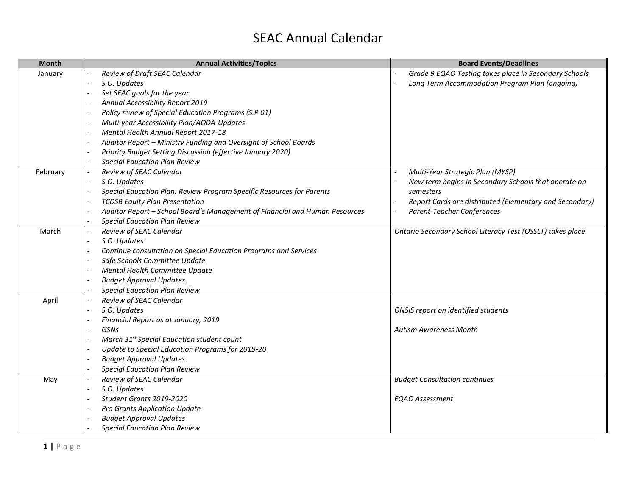## SEAC Annual Calendar

| <b>Month</b> | <b>Annual Activities/Topics</b>                                             | <b>Board Events/Deadlines</b>                              |
|--------------|-----------------------------------------------------------------------------|------------------------------------------------------------|
| January      | Review of Draft SEAC Calendar                                               | Grade 9 EQAO Testing takes place in Secondary Schools      |
|              | S.O. Updates                                                                | Long Term Accommodation Program Plan (ongoing)             |
|              | Set SEAC goals for the year                                                 |                                                            |
|              | Annual Accessibility Report 2019                                            |                                                            |
|              | Policy review of Special Education Programs (S.P.01)                        |                                                            |
|              | Multi-year Accessibility Plan/AODA-Updates                                  |                                                            |
|              | Mental Health Annual Report 2017-18                                         |                                                            |
|              | Auditor Report - Ministry Funding and Oversight of School Boards            |                                                            |
|              | Priority Budget Setting Discussion (effective January 2020)                 |                                                            |
|              | <b>Special Education Plan Review</b>                                        |                                                            |
| February     | Review of SEAC Calendar                                                     | Multi-Year Strategic Plan (MYSP)                           |
|              | S.O. Updates                                                                | New term begins in Secondary Schools that operate on       |
|              | Special Education Plan: Review Program Specific Resources for Parents       | semesters                                                  |
|              | <b>TCDSB Equity Plan Presentation</b>                                       | Report Cards are distributed (Elementary and Secondary)    |
|              | Auditor Report - School Board's Management of Financial and Human Resources | Parent-Teacher Conferences                                 |
|              | <b>Special Education Plan Review</b>                                        |                                                            |
| March        | Review of SEAC Calendar                                                     | Ontario Secondary School Literacy Test (OSSLT) takes place |
|              | S.O. Updates                                                                |                                                            |
|              | Continue consultation on Special Education Programs and Services            |                                                            |
|              | Safe Schools Committee Update                                               |                                                            |
|              | Mental Health Committee Update                                              |                                                            |
|              | <b>Budget Approval Updates</b>                                              |                                                            |
|              | <b>Special Education Plan Review</b>                                        |                                                            |
| April        | Review of SEAC Calendar                                                     |                                                            |
|              | S.O. Updates                                                                | ONSIS report on identified students                        |
|              | Financial Report as at January, 2019                                        |                                                            |
|              | GSNs                                                                        | <b>Autism Awareness Month</b>                              |
|              | March 31 <sup>st</sup> Special Education student count                      |                                                            |
|              | Update to Special Education Programs for 2019-20                            |                                                            |
|              | <b>Budget Approval Updates</b>                                              |                                                            |
|              | <b>Special Education Plan Review</b>                                        |                                                            |
| May          | Review of SEAC Calendar                                                     | <b>Budget Consultation continues</b>                       |
|              | S.O. Updates                                                                |                                                            |
|              | Student Grants 2019-2020                                                    | <b>EQAO Assessment</b>                                     |
|              | <b>Pro Grants Application Update</b>                                        |                                                            |
|              | <b>Budget Approval Updates</b>                                              |                                                            |
|              | <b>Special Education Plan Review</b>                                        |                                                            |